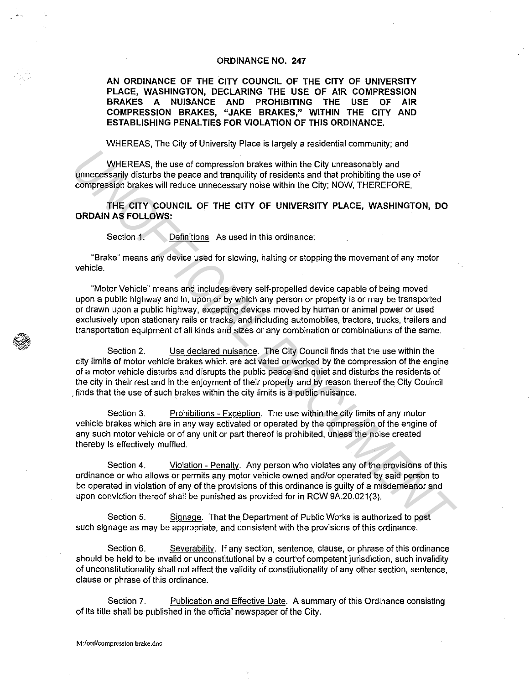## **ORDINANCE NO. 247**

**AN ORDINANCE OF THE CITY COUNCIL OF THE CITY OF UNIVERSITY PLACE, WASHINGTON, DECLARING THE USE OF AIR COMPRESSION BRAKES A NUISANCE AND PROHIBITING THE USE OF AIR COMPRESSION BRAKES, "JAKE BRAKES," WITHIN THE CITY AND ESTABLISHING PENALTIES FOR VIOLATION OF THIS ORDINANCE.** 

WHEREAS, The City of University Place is largely a residential community; and

WHEREAS, the use of compression brakes within the City unreasonably and unnecessarily disturbs the peace and tranquility of residents and that prohibiting the use of compression brakes will reduce unnecessary noise within the City; NOW, THEREFORE,

**THE CITY COUNCIL OF THE CITY OF UNIVERSITY PLACE, WASHINGTON, DO ORDAIN AS FOLLOWS:** 

Section 1. Definitions As used in this ordinance:

"Brake" means any device used for slowing, halting or stopping the movement of any motor vehicle.

"Motor Vehicle" means and includes every self-propelled device capable of being moved upon a public highway and in, upon or by which any person or property is or may be transported or drawn upon a public highway, excepting devices moved by human or animal power or used exclusively upon stationary rails or tracks, and including automobiles, tractors, trucks, trailers and transportation equipment of all kinds and sizes or any combination or combinations of the same.

Section 2. Use declared nuisance. The City Council finds that the use within the city limits of motor vehicle brakes which are activated or worked by the compression of the engine of a motor vehicle disturbs and disrupts the public peace and quiet and disturbs the residents of the city in their rest and in the enjoyment of their property and by reason thereof the City Council . finds that the use of such brakes within the city limits is a public nuisance. WHEREAS, the use of compression brakes within the City unreasonably and<br>unmergessian) dislutes the peace and tranquility of residents and that probibiling the use<br>compression brakes will react compresseny noise within the

Section 3. Prohibitions - Exception. The use within the city limits of any motor vehicle brakes which are in any way activated or operated by the compression of the engine of any such motor vehicle or of any unit or part thereof is prohibited, unless the noise created thereby is effectively muffled.

Section 4. Violation - Penaltv. Any person who violates any of the provisions of this ordinance or who allows or permits any motor vehicle owned and/or operated by said person to be operated in violation of any of the provisions of this ordinance is guilty of a misdemeanor and upon conviction thereof shall be punished as provided for in RCW 9A.20.021(3).

Section 5. Signage. That the Department of Public Works is authorized to post such signage as may be appropriate, and consistent with the provisions of this ordinance.

Section 6. Severabilitv. If any section, sentence, clause, or phrase of this ordinance should be held to be invalid or unconstitutional by a court of competent jurisdiction, such invalidity of unconstitutionality shall not affect the validity of constitutionality of any other section, sentence, clause or phrase of this ordinance.

Section 7. Publication and Effective Date. A summary of this Ordinance consisting of its title shall be published in the official newspaper of the City.